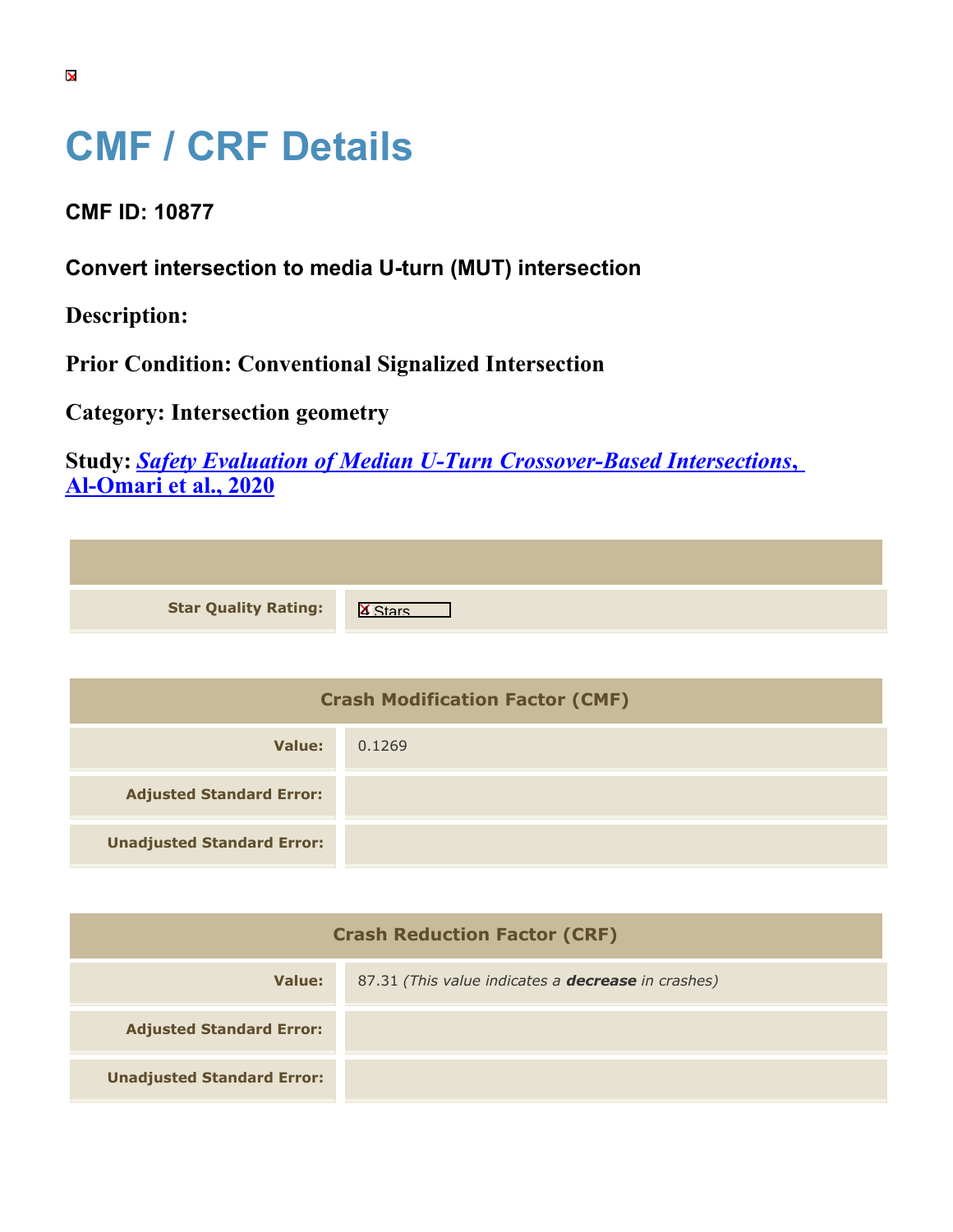## **CMF / CRF Details**

**CMF ID: 10877**

**Convert intersection to media U-turn (MUT) intersection**

**Description:** 

**Prior Condition: Conventional Signalized Intersection**

**Category: Intersection geometry**

**Study:** *[Safety Evaluation of Median U-Turn Crossover-Based Intersections](https://cmfclearinghouse.org/study_detail.cfm?stid=629)***[,](https://cmfclearinghouse.org/study_detail.cfm?stid=629) [Al-Omari et al., 2020](https://cmfclearinghouse.org/study_detail.cfm?stid=629)**

| <b>Star Quality Rating:</b>   X |  |
|---------------------------------|--|
|                                 |  |

| <b>Crash Modification Factor (CMF)</b> |        |
|----------------------------------------|--------|
| Value:                                 | 0.1269 |
| <b>Adjusted Standard Error:</b>        |        |
| <b>Unadjusted Standard Error:</b>      |        |

| <b>Crash Reduction Factor (CRF)</b> |                                                           |
|-------------------------------------|-----------------------------------------------------------|
| Value:                              | 87.31 (This value indicates a <b>decrease</b> in crashes) |
| <b>Adjusted Standard Error:</b>     |                                                           |
| <b>Unadjusted Standard Error:</b>   |                                                           |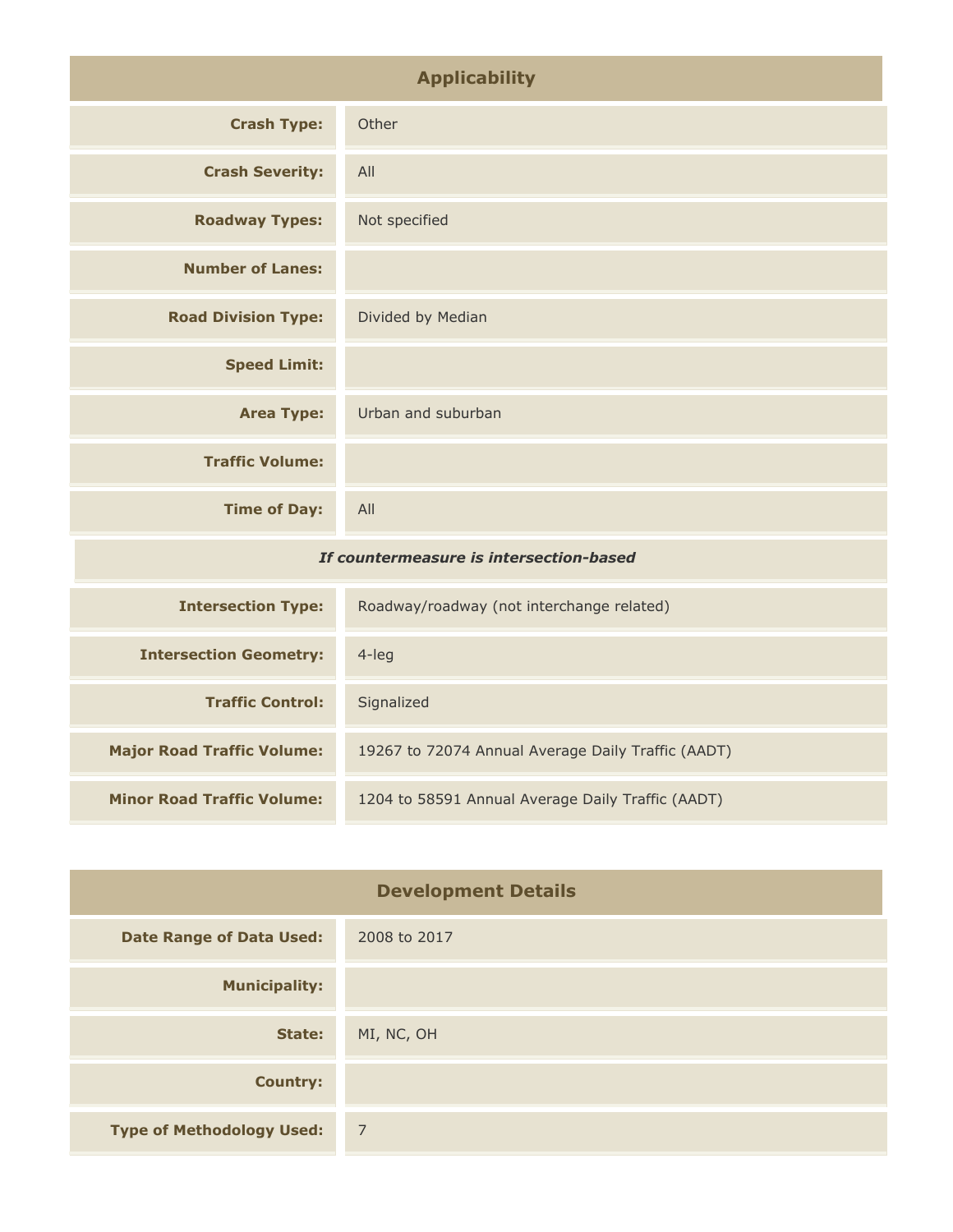| <b>Applicability</b>                    |                                                       |
|-----------------------------------------|-------------------------------------------------------|
| <b>Crash Type:</b>                      | Other                                                 |
| <b>Crash Severity:</b>                  | All                                                   |
| <b>Roadway Types:</b>                   | Not specified                                         |
| <b>Number of Lanes:</b>                 |                                                       |
| <b>Road Division Type:</b>              | Divided by Median                                     |
| <b>Speed Limit:</b>                     |                                                       |
| <b>Area Type:</b>                       | Urban and suburban                                    |
| <b>Traffic Volume:</b>                  |                                                       |
| <b>Time of Day:</b>                     | All                                                   |
| If countermeasure is intersection-based |                                                       |
| <b>Intersection Type:</b>               | Roadway/roadway (not interchange related)             |
| <b>Intersection Geometry:</b>           | $4$ -leg                                              |
| <b>Traffic Control:</b>                 | Signalized                                            |
| Made of Depart ToolCC a Mades           | $10257$ to $72074$ Append Augusta Delu Turffie (AADT) |

| <b>Traffic Control:</b>           | Signalized                                         |
|-----------------------------------|----------------------------------------------------|
| <b>Major Road Traffic Volume:</b> | 19267 to 72074 Annual Average Daily Traffic (AADT) |
| <b>Minor Road Traffic Volume:</b> | 1204 to 58591 Annual Average Daily Traffic (AADT)  |

| <b>Development Details</b>       |                |
|----------------------------------|----------------|
| <b>Date Range of Data Used:</b>  | 2008 to 2017   |
| <b>Municipality:</b>             |                |
| State:                           | MI, NC, OH     |
| <b>Country:</b>                  |                |
| <b>Type of Methodology Used:</b> | $\overline{7}$ |